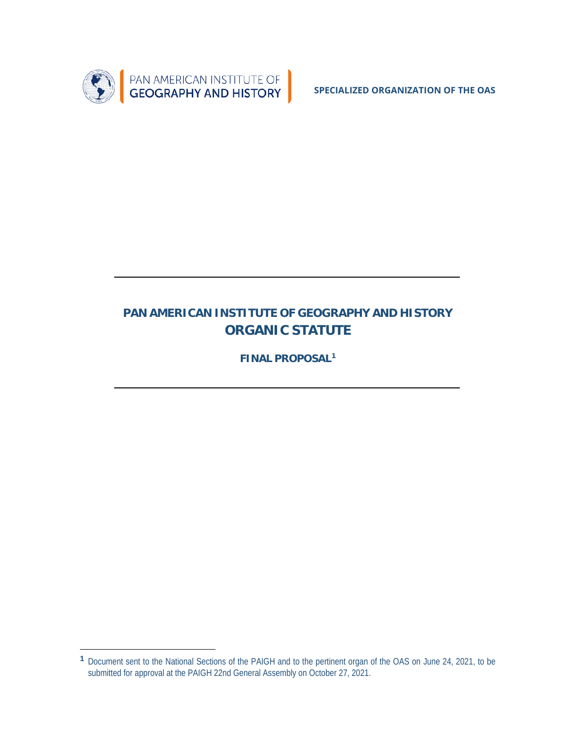

**SPECIALIZED ORGANIZATION OF THE OAS**

# **PAN AMERICAN INSTITUTE OF GEOGRAPHY AND HISTORY ORGANIC STATUTE**

**FINAL PROPOSA[L1](#page-0-0)**

 $\overline{a}$ 

<span id="page-0-0"></span>**<sup>1</sup>** Document sent to the National Sections of the PAIGH and to the pertinent organ of the OAS on June 24, 2021, to be submitted for approval at the PAIGH 22nd General Assembly on October 27, 2021.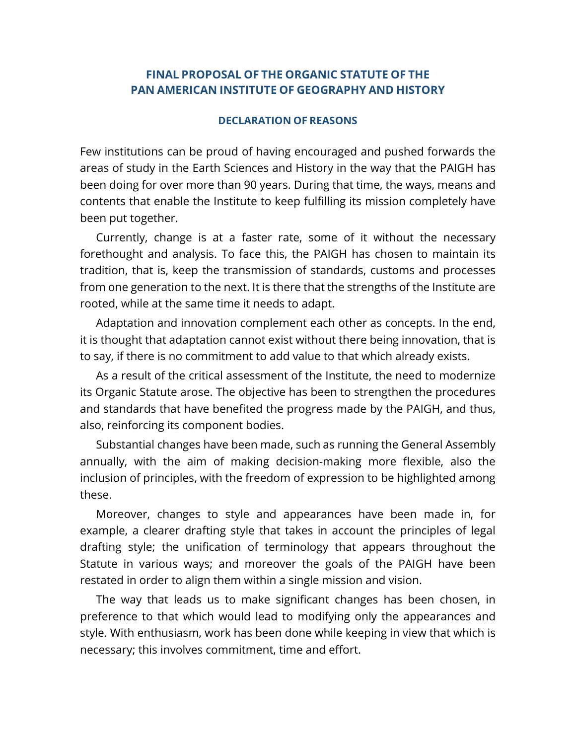### **FINAL PROPOSAL OF THE ORGANIC STATUTE OF THE PAN AMERICAN INSTITUTE OF GEOGRAPHY AND HISTORY**

#### **DECLARATION OF REASONS**

Few institutions can be proud of having encouraged and pushed forwards the areas of study in the Earth Sciences and History in the way that the PAIGH has been doing for over more than 90 years. During that time, the ways, means and contents that enable the Institute to keep fulfilling its mission completely have been put together.

Currently, change is at a faster rate, some of it without the necessary forethought and analysis. To face this, the PAIGH has chosen to maintain its tradition, that is, keep the transmission of standards, customs and processes from one generation to the next. It is there that the strengths of the Institute are rooted, while at the same time it needs to adapt.

Adaptation and innovation complement each other as concepts. In the end, it is thought that adaptation cannot exist without there being innovation, that is to say, if there is no commitment to add value to that which already exists.

As a result of the critical assessment of the Institute, the need to modernize its Organic Statute arose. The objective has been to strengthen the procedures and standards that have benefited the progress made by the PAIGH, and thus, also, reinforcing its component bodies.

Substantial changes have been made, such as running the General Assembly annually, with the aim of making decision-making more flexible, also the inclusion of principles, with the freedom of expression to be highlighted among these.

Moreover, changes to style and appearances have been made in, for example, a clearer drafting style that takes in account the principles of legal drafting style; the unification of terminology that appears throughout the Statute in various ways; and moreover the goals of the PAIGH have been restated in order to align them within a single mission and vision.

The way that leads us to make significant changes has been chosen, in preference to that which would lead to modifying only the appearances and style. With enthusiasm, work has been done while keeping in view that which is necessary; this involves commitment, time and effort.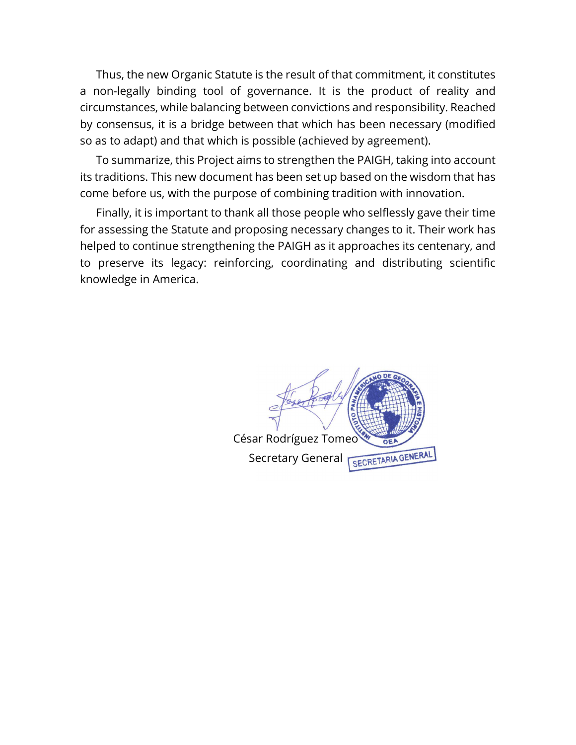Thus, the new Organic Statute is the result of that commitment, it constitutes a non-legally binding tool of governance. It is the product of reality and circumstances, while balancing between convictions and responsibility. Reached by consensus, it is a bridge between that which has been necessary (modified so as to adapt) and that which is possible (achieved by agreement).

To summarize, this Project aims to strengthen the PAIGH, taking into account its traditions. This new document has been set up based on the wisdom that has come before us, with the purpose of combining tradition with innovation.

Finally, it is important to thank all those people who selflessly gave their time for assessing the Statute and proposing necessary changes to it. Their work has helped to continue strengthening the PAIGH as it approaches its centenary, and to preserve its legacy: reinforcing, coordinating and distributing scientific knowledge in America.

> César Rodríguez Tomeo SECRETARIA GENERAL Secretary General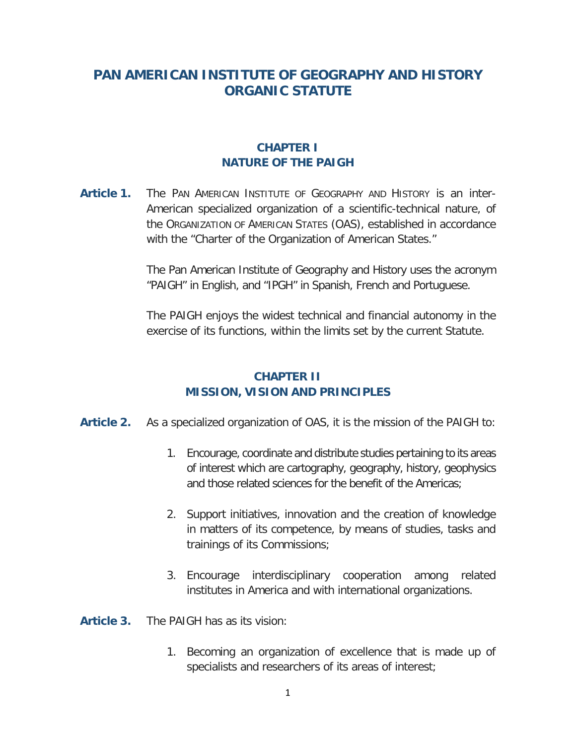## **PAN AMERICAN INSTITUTE OF GEOGRAPHY AND HISTORY ORGANIC STATUTE**

### **CHAPTER I NATURE OF THE PAIGH**

**Article 1.** The PAN AMERICAN INSTITUTE OF GEOGRAPHY AND HISTORY is an inter-American specialized organization of a scientific-technical nature, of the ORGANIZATION OF AMERICAN STATES (OAS), established in accordance with the "Charter of the Organization of American States."

> The Pan American Institute of Geography and History uses the acronym "PAIGH" in English, and "IPGH" in Spanish, French and Portuguese.

> The PAIGH enjoys the widest technical and financial autonomy in the exercise of its functions, within the limits set by the current Statute.

### **CHAPTER II MISSION, VISION AND PRINCIPLES**

- **Article 2.** As a specialized organization of OAS, it is the mission of the PAIGH to:
	- 1. Encourage, coordinate and distribute studies pertaining to its areas of interest which are cartography, geography, history, geophysics and those related sciences for the benefit of the Americas;
	- 2. Support initiatives, innovation and the creation of knowledge in matters of its competence, by means of studies, tasks and trainings of its Commissions;
	- 3. Encourage interdisciplinary cooperation among related institutes in America and with international organizations.

**Article 3.** The PAIGH has as its vision:

1. Becoming an organization of excellence that is made up of specialists and researchers of its areas of interest;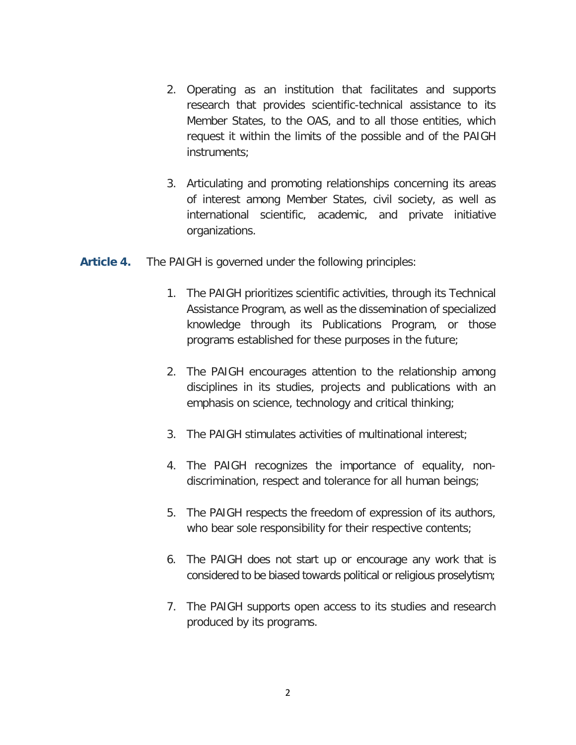- 2. Operating as an institution that facilitates and supports research that provides scientific-technical assistance to its Member States, to the OAS, and to all those entities, which request it within the limits of the possible and of the PAIGH instruments;
- 3. Articulating and promoting relationships concerning its areas of interest among Member States, civil society, as well as international scientific, academic, and private initiative organizations.
- **Article 4.** The PAIGH is governed under the following principles:
	- 1. The PAIGH prioritizes scientific activities, through its Technical Assistance Program, as well as the dissemination of specialized knowledge through its Publications Program, or those programs established for these purposes in the future;
	- 2. The PAIGH encourages attention to the relationship among disciplines in its studies, projects and publications with an emphasis on science, technology and critical thinking;
	- 3. The PAIGH stimulates activities of multinational interest;
	- 4. The PAIGH recognizes the importance of equality, nondiscrimination, respect and tolerance for all human beings;
	- 5. The PAIGH respects the freedom of expression of its authors, who bear sole responsibility for their respective contents;
	- 6. The PAIGH does not start up or encourage any work that is considered to be biased towards political or religious proselytism;
	- 7. The PAIGH supports open access to its studies and research produced by its programs.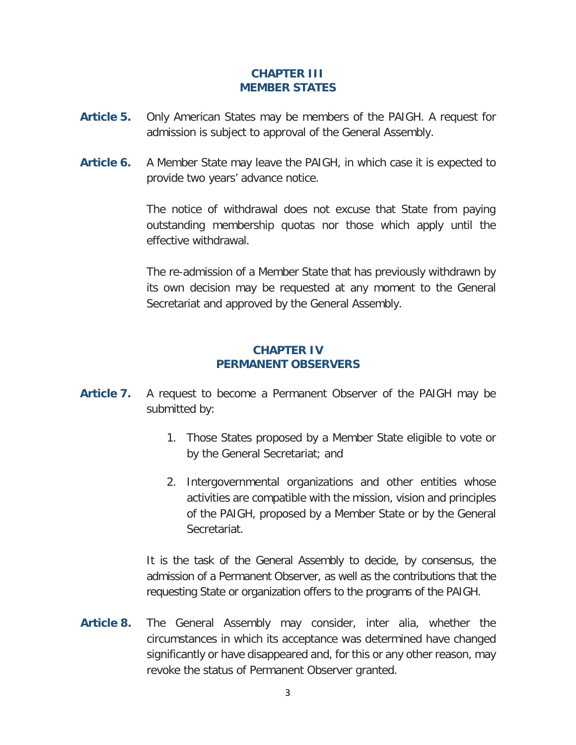### **CHAPTER III MEMBER STATES**

- **Article 5.** Only American States may be members of the PAIGH. A request for admission is subject to approval of the General Assembly.
- **Article 6.** A Member State may leave the PAIGH, in which case it is expected to provide two years' advance notice.

The notice of withdrawal does not excuse that State from paying outstanding membership quotas nor those which apply until the effective withdrawal.

The re-admission of a Member State that has previously withdrawn by its own decision may be requested at any moment to the General Secretariat and approved by the General Assembly.

### **CHAPTER IV PERMANENT OBSERVERS**

- **Article 7.** A request to become a Permanent Observer of the PAIGH may be submitted by:
	- 1. Those States proposed by a Member State eligible to vote or by the General Secretariat; and
	- 2. Intergovernmental organizations and other entities whose activities are compatible with the mission, vision and principles of the PAIGH, proposed by a Member State or by the General Secretariat.

It is the task of the General Assembly to decide, by consensus, the admission of a Permanent Observer, as well as the contributions that the requesting State or organization offers to the programs of the PAIGH.

**Article 8.** The General Assembly may consider, inter alia, whether the circumstances in which its acceptance was determined have changed significantly or have disappeared and, for this or any other reason, may revoke the status of Permanent Observer granted.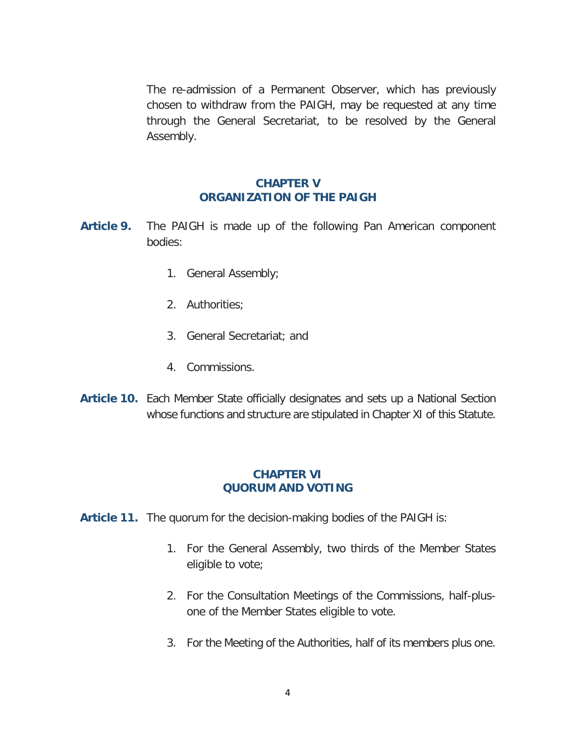The re-admission of a Permanent Observer, which has previously chosen to withdraw from the PAIGH, may be requested at any time through the General Secretariat, to be resolved by the General Assembly.

#### **CHAPTER V ORGANIZATION OF THE PAIGH**

- **Article 9.** The PAIGH is made up of the following Pan American component bodies:
	- 1. General Assembly;
	- 2. Authorities;
	- 3. General Secretariat; and
	- 4. Commissions.
- **Article 10.** Each Member State officially designates and sets up a National Section whose functions and structure are stipulated in Chapter XI of this Statute.

#### **CHAPTER VI QUORUM AND VOTING**

- **Article 11.** The quorum for the decision-making bodies of the PAIGH is:
	- 1. For the General Assembly, two thirds of the Member States eligible to vote;
	- 2. For the Consultation Meetings of the Commissions, half-plusone of the Member States eligible to vote.
	- 3. For the Meeting of the Authorities, half of its members plus one.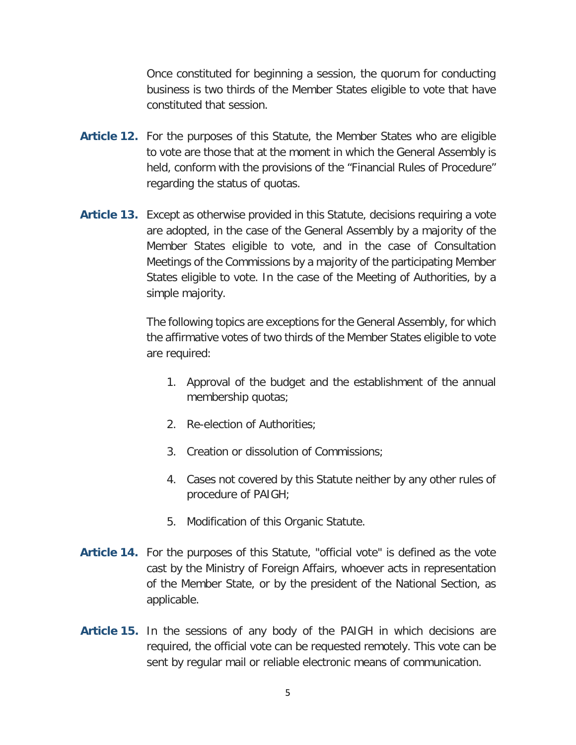Once constituted for beginning a session, the quorum for conducting business is two thirds of the Member States eligible to vote that have constituted that session.

- **Article 12.** For the purposes of this Statute, the Member States who are eligible to vote are those that at the moment in which the General Assembly is held, conform with the provisions of the "Financial Rules of Procedure" regarding the status of quotas.
- **Article 13.** Except as otherwise provided in this Statute, decisions requiring a vote are adopted, in the case of the General Assembly by a majority of the Member States eligible to vote, and in the case of Consultation Meetings of the Commissions by a majority of the participating Member States eligible to vote. In the case of the Meeting of Authorities, by a simple majority.

The following topics are exceptions for the General Assembly, for which the affirmative votes of two thirds of the Member States eligible to vote are required:

- 1. Approval of the budget and the establishment of the annual membership quotas;
- 2. Re-election of Authorities;
- 3. Creation or dissolution of Commissions;
- 4. Cases not covered by this Statute neither by any other rules of procedure of PAIGH;
- 5. Modification of this Organic Statute.
- **Article 14.** For the purposes of this Statute, "official vote" is defined as the vote cast by the Ministry of Foreign Affairs, whoever acts in representation of the Member State, or by the president of the National Section, as applicable.
- **Article 15.** In the sessions of any body of the PAIGH in which decisions are required, the official vote can be requested remotely. This vote can be sent by regular mail or reliable electronic means of communication.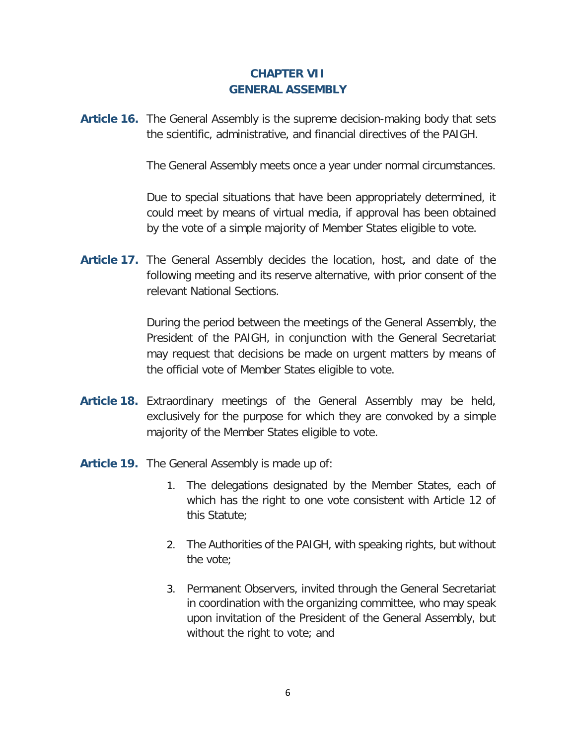### **CHAPTER VII GENERAL ASSEMBLY**

**Article 16.** The General Assembly is the supreme decision-making body that sets the scientific, administrative, and financial directives of the PAIGH.

The General Assembly meets once a year under normal circumstances.

Due to special situations that have been appropriately determined, it could meet by means of virtual media, if approval has been obtained by the vote of a simple majority of Member States eligible to vote.

**Article 17.** The General Assembly decides the location, host, and date of the following meeting and its reserve alternative, with prior consent of the relevant National Sections.

> During the period between the meetings of the General Assembly, the President of the PAIGH, in conjunction with the General Secretariat may request that decisions be made on urgent matters by means of the official vote of Member States eligible to vote.

- **Article 18.** Extraordinary meetings of the General Assembly may be held, exclusively for the purpose for which they are convoked by a simple majority of the Member States eligible to vote.
- **Article 19.** The General Assembly is made up of:
	- 1. The delegations designated by the Member States, each of which has the right to one vote consistent with Article 12 of this Statute;
	- 2. The Authorities of the PAIGH, with speaking rights, but without the vote;
	- 3. Permanent Observers, invited through the General Secretariat in coordination with the organizing committee, who may speak upon invitation of the President of the General Assembly, but without the right to vote; and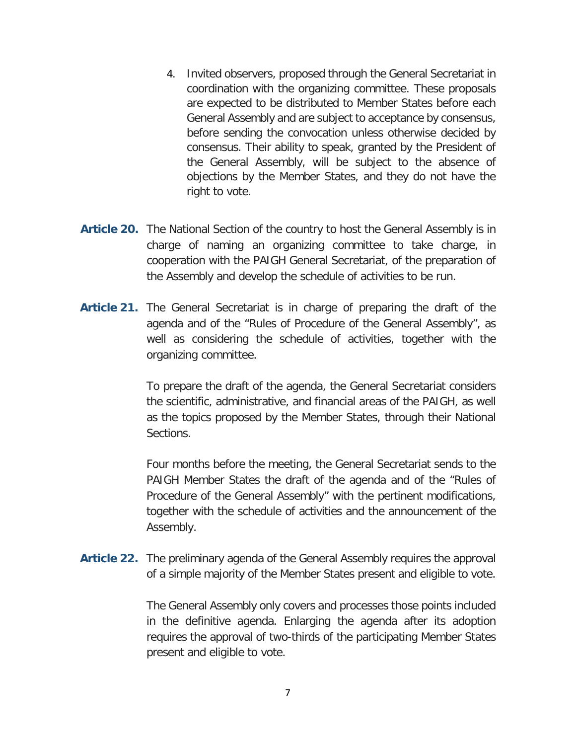- 4. Invited observers, proposed through the General Secretariat in coordination with the organizing committee. These proposals are expected to be distributed to Member States before each General Assembly and are subject to acceptance by consensus, before sending the convocation unless otherwise decided by consensus. Their ability to speak, granted by the President of the General Assembly, will be subject to the absence of objections by the Member States, and they do not have the right to vote.
- **Article 20.** The National Section of the country to host the General Assembly is in charge of naming an organizing committee to take charge, in cooperation with the PAIGH General Secretariat, of the preparation of the Assembly and develop the schedule of activities to be run.
- **Article 21.** The General Secretariat is in charge of preparing the draft of the agenda and of the "Rules of Procedure of the General Assembly", as well as considering the schedule of activities, together with the organizing committee.

To prepare the draft of the agenda, the General Secretariat considers the scientific, administrative, and financial areas of the PAIGH, as well as the topics proposed by the Member States, through their National Sections.

Four months before the meeting, the General Secretariat sends to the PAIGH Member States the draft of the agenda and of the "Rules of Procedure of the General Assembly" with the pertinent modifications, together with the schedule of activities and the announcement of the Assembly.

**Article 22.** The preliminary agenda of the General Assembly requires the approval of a simple majority of the Member States present and eligible to vote.

> The General Assembly only covers and processes those points included in the definitive agenda. Enlarging the agenda after its adoption requires the approval of two-thirds of the participating Member States present and eligible to vote.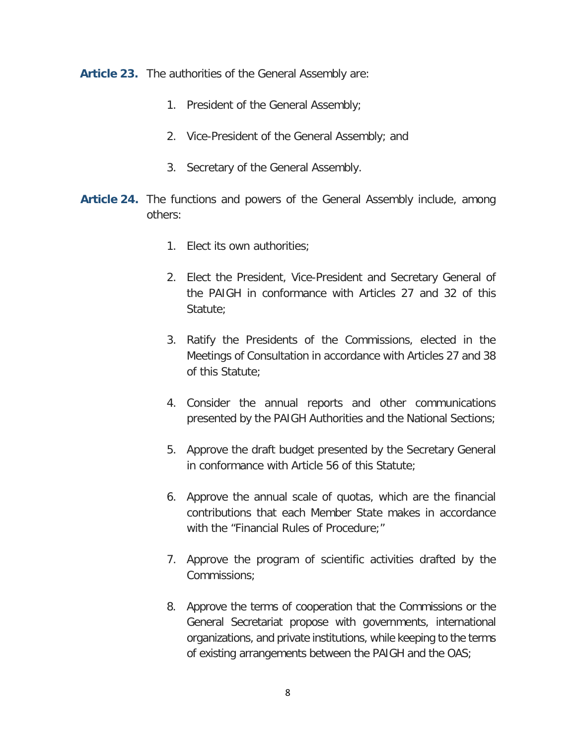**Article 23.** The authorities of the General Assembly are:

- 1. President of the General Assembly;
- 2. Vice-President of the General Assembly; and
- 3. Secretary of the General Assembly.
- **Article 24.** The functions and powers of the General Assembly include, among others:
	- 1. Elect its own authorities;
	- 2. Elect the President, Vice-President and Secretary General of the PAIGH in conformance with Articles 27 and 32 of this Statute;
	- 3. Ratify the Presidents of the Commissions, elected in the Meetings of Consultation in accordance with Articles 27 and 38 of this Statute;
	- 4. Consider the annual reports and other communications presented by the PAIGH Authorities and the National Sections;
	- 5. Approve the draft budget presented by the Secretary General in conformance with Article 56 of this Statute;
	- 6. Approve the annual scale of quotas, which are the financial contributions that each Member State makes in accordance with the "Financial Rules of Procedure;"
	- 7. Approve the program of scientific activities drafted by the Commissions;
	- 8. Approve the terms of cooperation that the Commissions or the General Secretariat propose with governments, international organizations, and private institutions, while keeping to the terms of existing arrangements between the PAIGH and the OAS;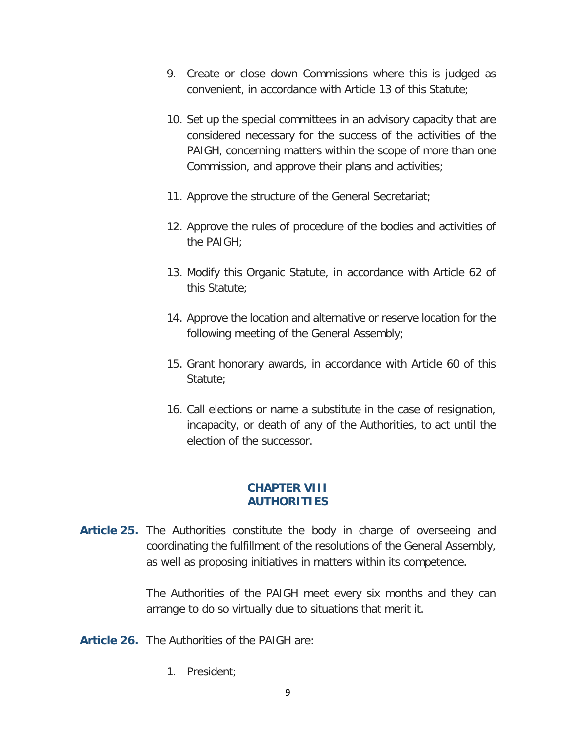- 9. Create or close down Commissions where this is judged as convenient, in accordance with Article 13 of this Statute;
- 10. Set up the special committees in an advisory capacity that are considered necessary for the success of the activities of the PAIGH, concerning matters within the scope of more than one Commission, and approve their plans and activities;
- 11. Approve the structure of the General Secretariat;
- 12. Approve the rules of procedure of the bodies and activities of the PAIGH;
- 13. Modify this Organic Statute, in accordance with Article 62 of this Statute;
- 14. Approve the location and alternative or reserve location for the following meeting of the General Assembly;
- 15. Grant honorary awards, in accordance with Article 60 of this Statute:
- 16. Call elections or name a substitute in the case of resignation, incapacity, or death of any of the Authorities, to act until the election of the successor.

### **CHAPTER VIII AUTHORITIES**

**Article 25.** The Authorities constitute the body in charge of overseeing and coordinating the fulfillment of the resolutions of the General Assembly, as well as proposing initiatives in matters within its competence.

> The Authorities of the PAIGH meet every six months and they can arrange to do so virtually due to situations that merit it.

- **Article 26.** The Authorities of the PAIGH are:
	- 1. President;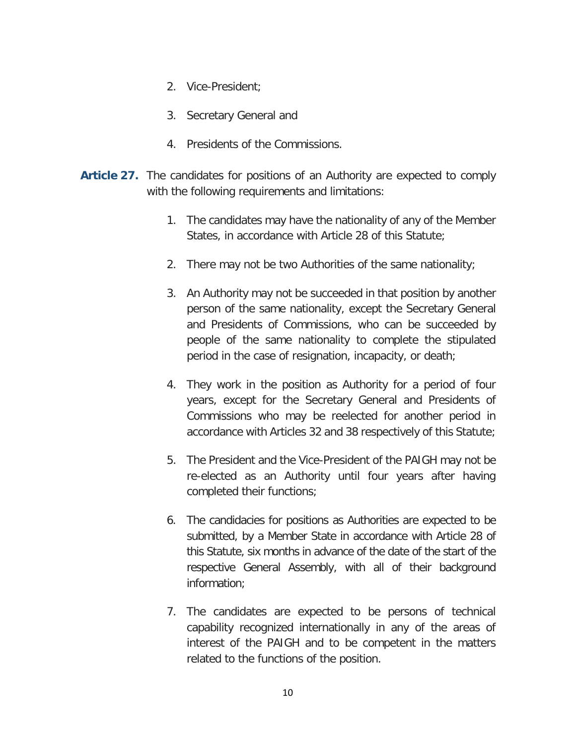- 2. Vice-President;
- 3. Secretary General and
- 4. Presidents of the Commissions.
- **Article 27.** The candidates for positions of an Authority are expected to comply with the following requirements and limitations:
	- 1. The candidates may have the nationality of any of the Member States, in accordance with Article 28 of this Statute;
	- 2. There may not be two Authorities of the same nationality;
	- 3. An Authority may not be succeeded in that position by another person of the same nationality, except the Secretary General and Presidents of Commissions, who can be succeeded by people of the same nationality to complete the stipulated period in the case of resignation, incapacity, or death;
	- 4. They work in the position as Authority for a period of four years, except for the Secretary General and Presidents of Commissions who may be reelected for another period in accordance with Articles 32 and 38 respectively of this Statute;
	- 5. The President and the Vice-President of the PAIGH may not be re-elected as an Authority until four years after having completed their functions;
	- 6. The candidacies for positions as Authorities are expected to be submitted, by a Member State in accordance with Article 28 of this Statute, six months in advance of the date of the start of the respective General Assembly, with all of their background information;
	- 7. The candidates are expected to be persons of technical capability recognized internationally in any of the areas of interest of the PAIGH and to be competent in the matters related to the functions of the position.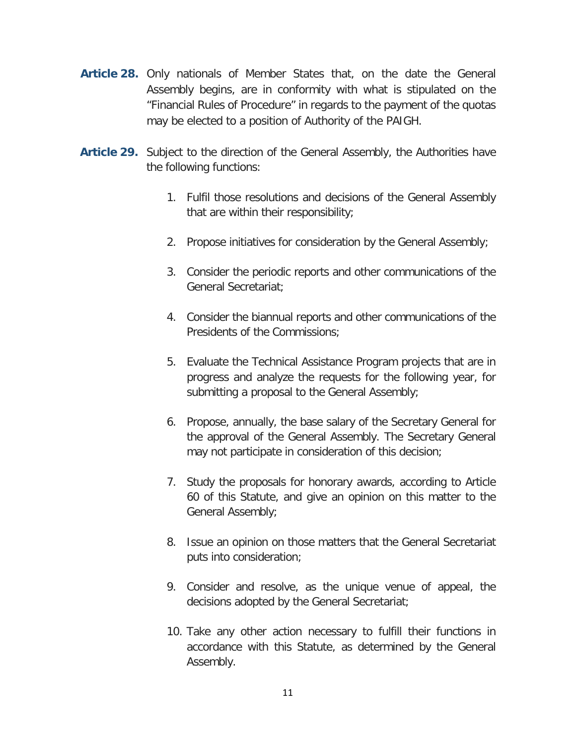- **Article 28.** Only nationals of Member States that, on the date the General Assembly begins, are in conformity with what is stipulated on the "Financial Rules of Procedure" in regards to the payment of the quotas may be elected to a position of Authority of the PAIGH.
- **Article 29.** Subject to the direction of the General Assembly, the Authorities have the following functions:
	- 1. Fulfil those resolutions and decisions of the General Assembly that are within their responsibility;
	- 2. Propose initiatives for consideration by the General Assembly;
	- 3. Consider the periodic reports and other communications of the General Secretariat;
	- 4. Consider the biannual reports and other communications of the Presidents of the Commissions;
	- 5. Evaluate the Technical Assistance Program projects that are in progress and analyze the requests for the following year, for submitting a proposal to the General Assembly;
	- 6. Propose, annually, the base salary of the Secretary General for the approval of the General Assembly. The Secretary General may not participate in consideration of this decision;
	- 7. Study the proposals for honorary awards, according to Article 60 of this Statute, and give an opinion on this matter to the General Assembly;
	- 8. Issue an opinion on those matters that the General Secretariat puts into consideration;
	- 9. Consider and resolve, as the unique venue of appeal, the decisions adopted by the General Secretariat;
	- 10. Take any other action necessary to fulfill their functions in accordance with this Statute, as determined by the General Assembly.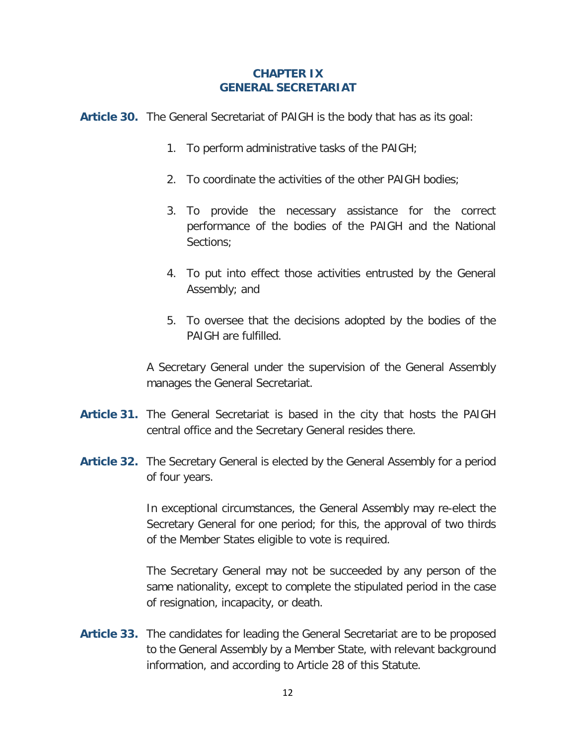#### **CHAPTER IX GENERAL SECRETARIAT**

**Article 30.** The General Secretariat of PAIGH is the body that has as its goal:

- 1. To perform administrative tasks of the PAIGH;
- 2. To coordinate the activities of the other PAIGH bodies;
- 3. To provide the necessary assistance for the correct performance of the bodies of the PAIGH and the National Sections;
- 4. To put into effect those activities entrusted by the General Assembly; and
- 5. To oversee that the decisions adopted by the bodies of the PAIGH are fulfilled.

A Secretary General under the supervision of the General Assembly manages the General Secretariat.

- **Article 31.** The General Secretariat is based in the city that hosts the PAIGH central office and the Secretary General resides there.
- **Article 32.** The Secretary General is elected by the General Assembly for a period of four years.

In exceptional circumstances, the General Assembly may re-elect the Secretary General for one period; for this, the approval of two thirds of the Member States eligible to vote is required.

The Secretary General may not be succeeded by any person of the same nationality, except to complete the stipulated period in the case of resignation, incapacity, or death.

**Article 33.** The candidates for leading the General Secretariat are to be proposed to the General Assembly by a Member State, with relevant background information, and according to Article 28 of this Statute.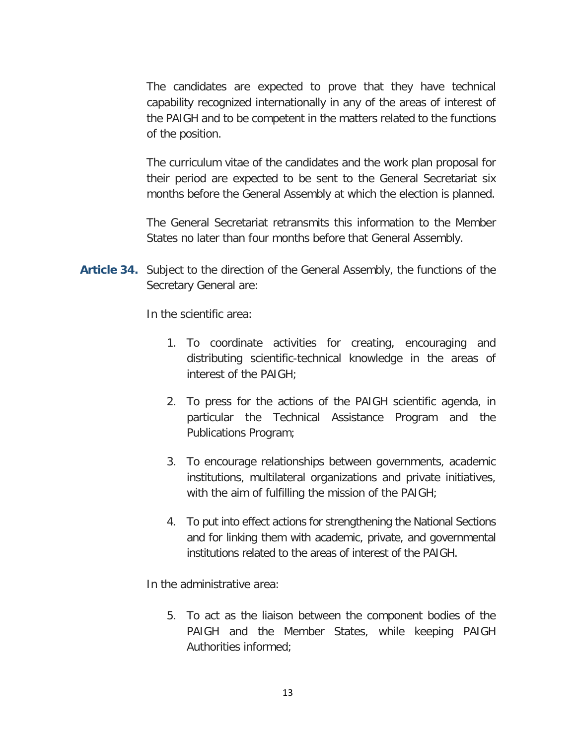The candidates are expected to prove that they have technical capability recognized internationally in any of the areas of interest of the PAIGH and to be competent in the matters related to the functions of the position.

The curriculum vitae of the candidates and the work plan proposal for their period are expected to be sent to the General Secretariat six months before the General Assembly at which the election is planned.

The General Secretariat retransmits this information to the Member States no later than four months before that General Assembly.

**Article 34.** Subject to the direction of the General Assembly, the functions of the Secretary General are:

In the scientific area:

- 1. To coordinate activities for creating, encouraging and distributing scientific-technical knowledge in the areas of interest of the PAIGH;
- 2. To press for the actions of the PAIGH scientific agenda, in particular the Technical Assistance Program and the Publications Program;
- 3. To encourage relationships between governments, academic institutions, multilateral organizations and private initiatives, with the aim of fulfilling the mission of the PAIGH;
- 4. To put into effect actions for strengthening the National Sections and for linking them with academic, private, and governmental institutions related to the areas of interest of the PAIGH.

In the administrative area:

5. To act as the liaison between the component bodies of the PAIGH and the Member States, while keeping PAIGH Authorities informed;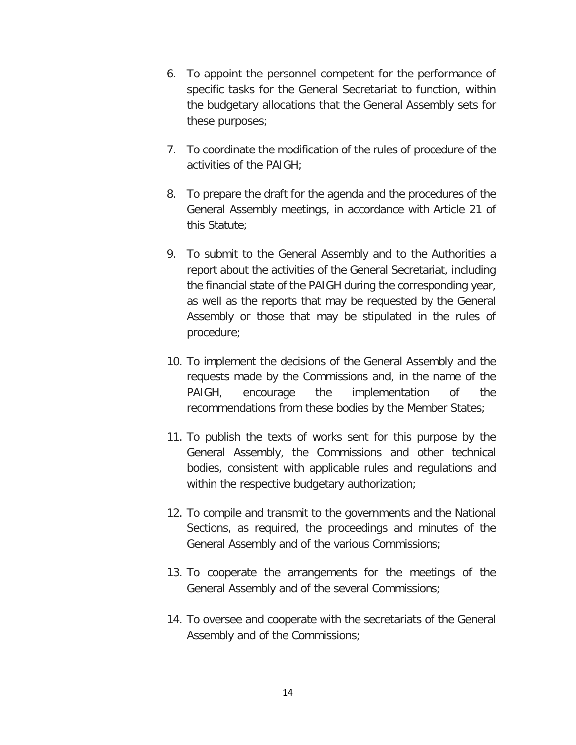- 6. To appoint the personnel competent for the performance of specific tasks for the General Secretariat to function, within the budgetary allocations that the General Assembly sets for these purposes;
- 7. To coordinate the modification of the rules of procedure of the activities of the PAIGH;
- 8. To prepare the draft for the agenda and the procedures of the General Assembly meetings, in accordance with Article 21 of this Statute;
- 9. To submit to the General Assembly and to the Authorities a report about the activities of the General Secretariat, including the financial state of the PAIGH during the corresponding year, as well as the reports that may be requested by the General Assembly or those that may be stipulated in the rules of procedure;
- 10. To implement the decisions of the General Assembly and the requests made by the Commissions and, in the name of the PAIGH, encourage the implementation of the recommendations from these bodies by the Member States;
- 11. To publish the texts of works sent for this purpose by the General Assembly, the Commissions and other technical bodies, consistent with applicable rules and regulations and within the respective budgetary authorization;
- 12. To compile and transmit to the governments and the National Sections, as required, the proceedings and minutes of the General Assembly and of the various Commissions;
- 13. To cooperate the arrangements for the meetings of the General Assembly and of the several Commissions;
- 14. To oversee and cooperate with the secretariats of the General Assembly and of the Commissions;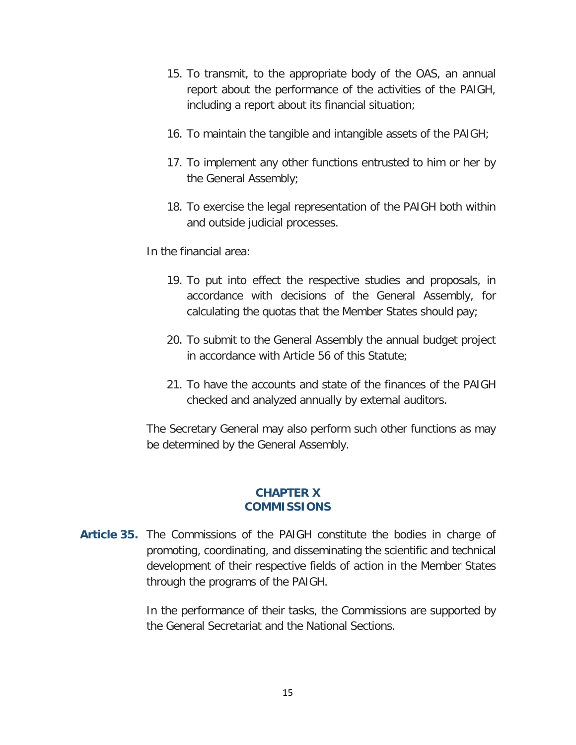- 15. To transmit, to the appropriate body of the OAS, an annual report about the performance of the activities of the PAIGH, including a report about its financial situation;
- 16. To maintain the tangible and intangible assets of the PAIGH;
- 17. To implement any other functions entrusted to him or her by the General Assembly;
- 18. To exercise the legal representation of the PAIGH both within and outside judicial processes.

In the financial area:

- 19. To put into effect the respective studies and proposals, in accordance with decisions of the General Assembly, for calculating the quotas that the Member States should pay;
- 20. To submit to the General Assembly the annual budget project in accordance with Article 56 of this Statute;
- 21. To have the accounts and state of the finances of the PAIGH checked and analyzed annually by external auditors.

The Secretary General may also perform such other functions as may be determined by the General Assembly.

### **CHAPTER X COMMISSIONS**

**Article 35.** The Commissions of the PAIGH constitute the bodies in charge of promoting, coordinating, and disseminating the scientific and technical development of their respective fields of action in the Member States through the programs of the PAIGH.

> In the performance of their tasks, the Commissions are supported by the General Secretariat and the National Sections.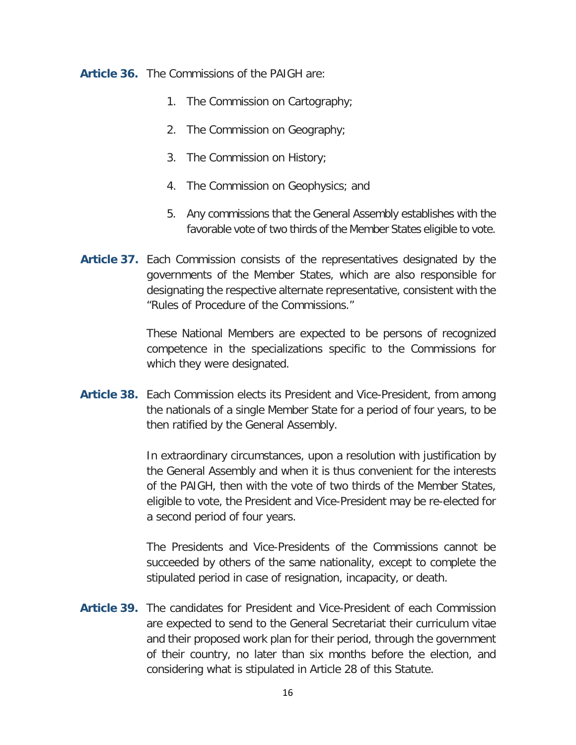**Article 36.** The Commissions of the PAIGH are:

- 1. The Commission on Cartography;
- 2. The Commission on Geography;
- 3. The Commission on History;
- 4. The Commission on Geophysics; and
- 5. Any commissions that the General Assembly establishes with the favorable vote of two thirds of the Member States eligible to vote.
- **Article 37.** Each Commission consists of the representatives designated by the governments of the Member States, which are also responsible for designating the respective alternate representative, consistent with the "Rules of Procedure of the Commissions."

These National Members are expected to be persons of recognized competence in the specializations specific to the Commissions for which they were designated.

**Article 38.** Each Commission elects its President and Vice-President, from among the nationals of a single Member State for a period of four years, to be then ratified by the General Assembly.

> In extraordinary circumstances, upon a resolution with justification by the General Assembly and when it is thus convenient for the interests of the PAIGH, then with the vote of two thirds of the Member States, eligible to vote, the President and Vice-President may be re-elected for a second period of four years.

> The Presidents and Vice-Presidents of the Commissions cannot be succeeded by others of the same nationality, except to complete the stipulated period in case of resignation, incapacity, or death.

**Article 39.** The candidates for President and Vice-President of each Commission are expected to send to the General Secretariat their curriculum vitae and their proposed work plan for their period, through the government of their country, no later than six months before the election, and considering what is stipulated in Article 28 of this Statute.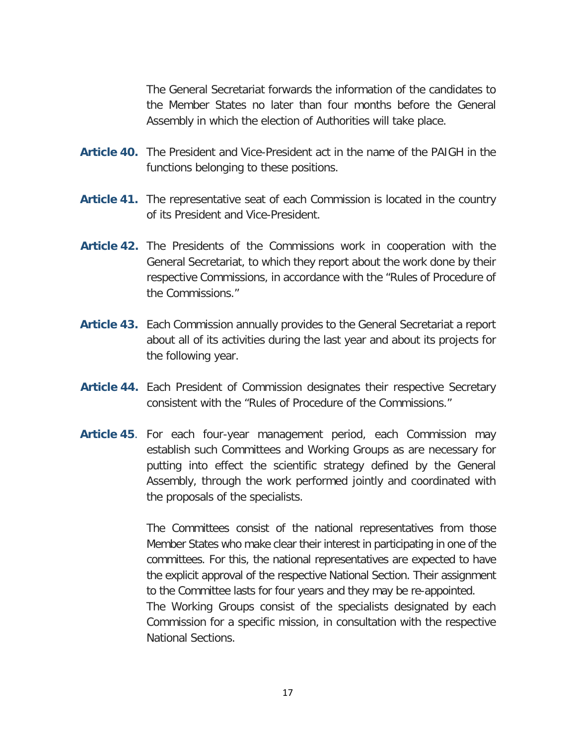The General Secretariat forwards the information of the candidates to the Member States no later than four months before the General Assembly in which the election of Authorities will take place.

- **Article 40.** The President and Vice-President act in the name of the PAIGH in the functions belonging to these positions.
- **Article 41.** The representative seat of each Commission is located in the country of its President and Vice-President.
- **Article 42.** The Presidents of the Commissions work in cooperation with the General Secretariat, to which they report about the work done by their respective Commissions, in accordance with the "Rules of Procedure of the Commissions."
- **Article 43.** Each Commission annually provides to the General Secretariat a report about all of its activities during the last year and about its projects for the following year.
- **Article 44.** Each President of Commission designates their respective Secretary consistent with the "Rules of Procedure of the Commissions."
- **Article 45**. For each four-year management period, each Commission may establish such Committees and Working Groups as are necessary for putting into effect the scientific strategy defined by the General Assembly, through the work performed jointly and coordinated with the proposals of the specialists.

The Committees consist of the national representatives from those Member States who make clear their interest in participating in one of the committees. For this, the national representatives are expected to have the explicit approval of the respective National Section. Their assignment to the Committee lasts for four years and they may be re-appointed. The Working Groups consist of the specialists designated by each Commission for a specific mission, in consultation with the respective

National Sections.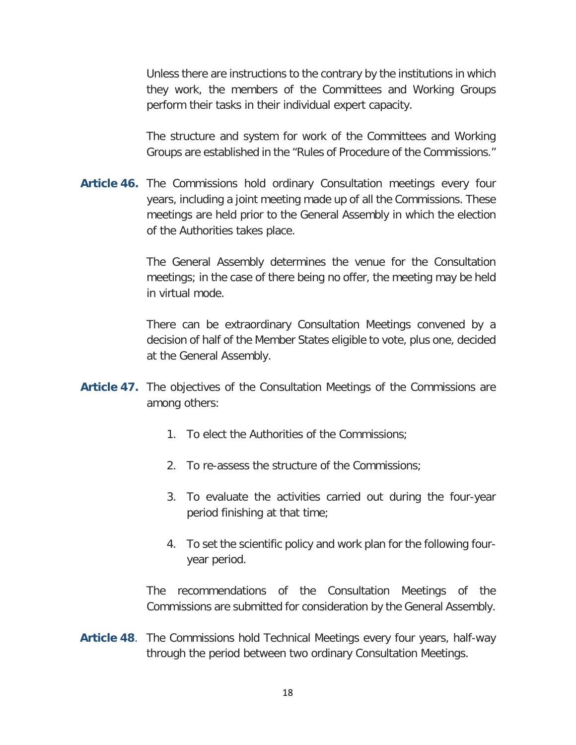Unless there are instructions to the contrary by the institutions in which they work, the members of the Committees and Working Groups perform their tasks in their individual expert capacity.

The structure and system for work of the Committees and Working Groups are established in the "Rules of Procedure of the Commissions."

**Article 46.** The Commissions hold ordinary Consultation meetings every four years, including a joint meeting made up of all the Commissions. These meetings are held prior to the General Assembly in which the election of the Authorities takes place.

> The General Assembly determines the venue for the Consultation meetings; in the case of there being no offer, the meeting may be held in virtual mode.

> There can be extraordinary Consultation Meetings convened by a decision of half of the Member States eligible to vote, plus one, decided at the General Assembly.

- **Article 47.** The objectives of the Consultation Meetings of the Commissions are among others:
	- 1. To elect the Authorities of the Commissions;
	- 2. To re-assess the structure of the Commissions;
	- 3. To evaluate the activities carried out during the four-year period finishing at that time;
	- 4. To set the scientific policy and work plan for the following fouryear period.

The recommendations of the Consultation Meetings of the Commissions are submitted for consideration by the General Assembly.

**Article 48**. The Commissions hold Technical Meetings every four years, half-way through the period between two ordinary Consultation Meetings.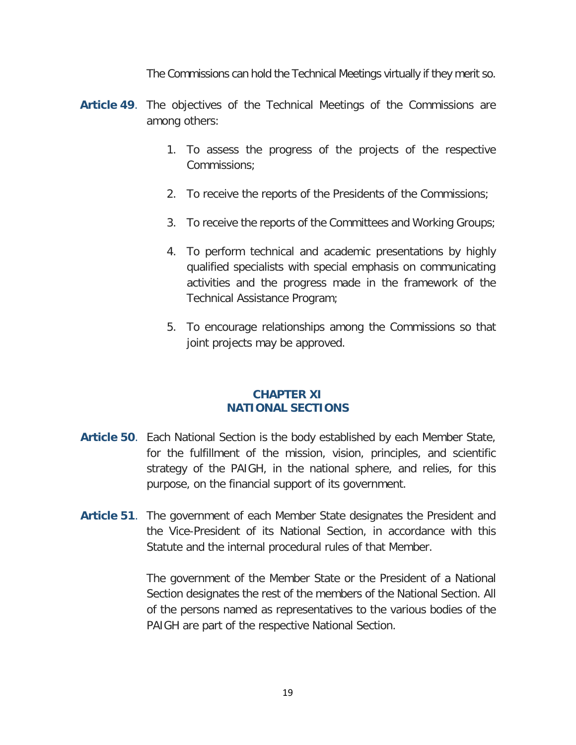The Commissions can hold the Technical Meetings virtually if they merit so.

- **Article 49**. The objectives of the Technical Meetings of the Commissions are among others:
	- 1. To assess the progress of the projects of the respective Commissions;
	- 2. To receive the reports of the Presidents of the Commissions;
	- 3. To receive the reports of the Committees and Working Groups;
	- 4. To perform technical and academic presentations by highly qualified specialists with special emphasis on communicating activities and the progress made in the framework of the Technical Assistance Program;
	- 5. To encourage relationships among the Commissions so that joint projects may be approved.

#### **CHAPTER XI NATIONAL SECTIONS**

- **Article 50**. Each National Section is the body established by each Member State, for the fulfillment of the mission, vision, principles, and scientific strategy of the PAIGH, in the national sphere, and relies, for this purpose, on the financial support of its government.
- **Article 51**. The government of each Member State designates the President and the Vice-President of its National Section, in accordance with this Statute and the internal procedural rules of that Member.

The government of the Member State or the President of a National Section designates the rest of the members of the National Section. All of the persons named as representatives to the various bodies of the PAIGH are part of the respective National Section.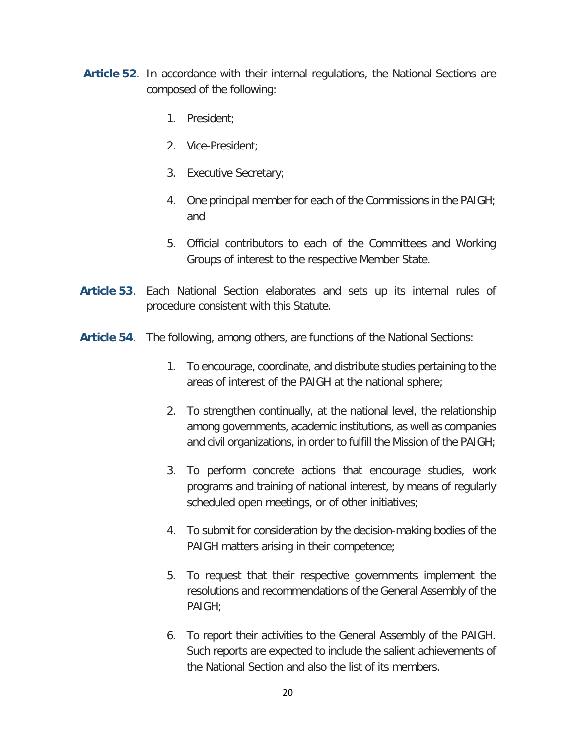- **Article 52**. In accordance with their internal regulations, the National Sections are composed of the following:
	- 1. President;
	- 2. Vice-President;
	- 3. Executive Secretary;
	- 4. One principal member for each of the Commissions in the PAIGH; and
	- 5. Official contributors to each of the Committees and Working Groups of interest to the respective Member State.
- **Article 53**. Each National Section elaborates and sets up its internal rules of procedure consistent with this Statute.
- **Article 54**. The following, among others, are functions of the National Sections:
	- 1. To encourage, coordinate, and distribute studies pertaining to the areas of interest of the PAIGH at the national sphere;
	- 2. To strengthen continually, at the national level, the relationship among governments, academic institutions, as well as companies and civil organizations, in order to fulfill the Mission of the PAIGH;
	- 3. To perform concrete actions that encourage studies, work programs and training of national interest, by means of regularly scheduled open meetings, or of other initiatives;
	- 4. To submit for consideration by the decision-making bodies of the PAIGH matters arising in their competence;
	- 5. To request that their respective governments implement the resolutions and recommendations of the General Assembly of the PAIGH;
	- 6. To report their activities to the General Assembly of the PAIGH. Such reports are expected to include the salient achievements of the National Section and also the list of its members.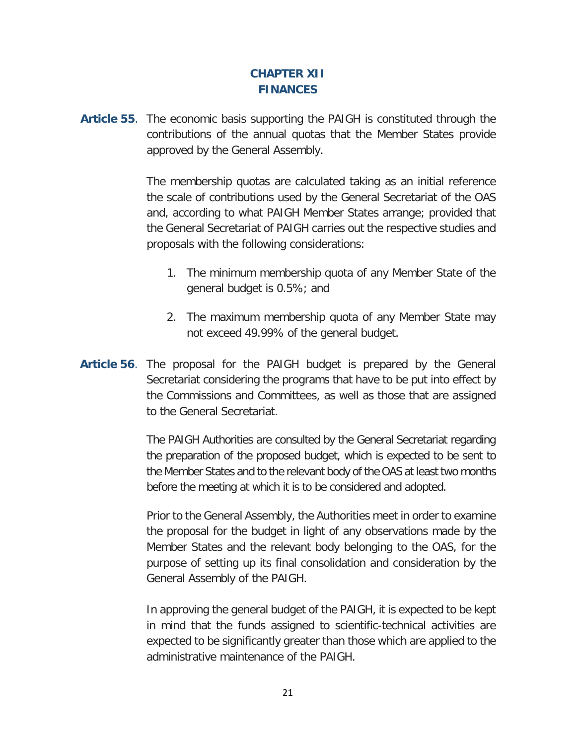### **CHAPTER XII FINANCES**

**Article 55**. The economic basis supporting the PAIGH is constituted through the contributions of the annual quotas that the Member States provide approved by the General Assembly.

> The membership quotas are calculated taking as an initial reference the scale of contributions used by the General Secretariat of the OAS and, according to what PAIGH Member States arrange; provided that the General Secretariat of PAIGH carries out the respective studies and proposals with the following considerations:

- 1. The minimum membership quota of any Member State of the general budget is 0.5%; and
- 2. The maximum membership quota of any Member State may not exceed 49.99% of the general budget.
- **Article 56**. The proposal for the PAIGH budget is prepared by the General Secretariat considering the programs that have to be put into effect by the Commissions and Committees, as well as those that are assigned to the General Secretariat.

The PAIGH Authorities are consulted by the General Secretariat regarding the preparation of the proposed budget, which is expected to be sent to the Member States and to the relevant body of the OAS at least two months before the meeting at which it is to be considered and adopted.

Prior to the General Assembly, the Authorities meet in order to examine the proposal for the budget in light of any observations made by the Member States and the relevant body belonging to the OAS, for the purpose of setting up its final consolidation and consideration by the General Assembly of the PAIGH.

In approving the general budget of the PAIGH, it is expected to be kept in mind that the funds assigned to scientific-technical activities are expected to be significantly greater than those which are applied to the administrative maintenance of the PAIGH.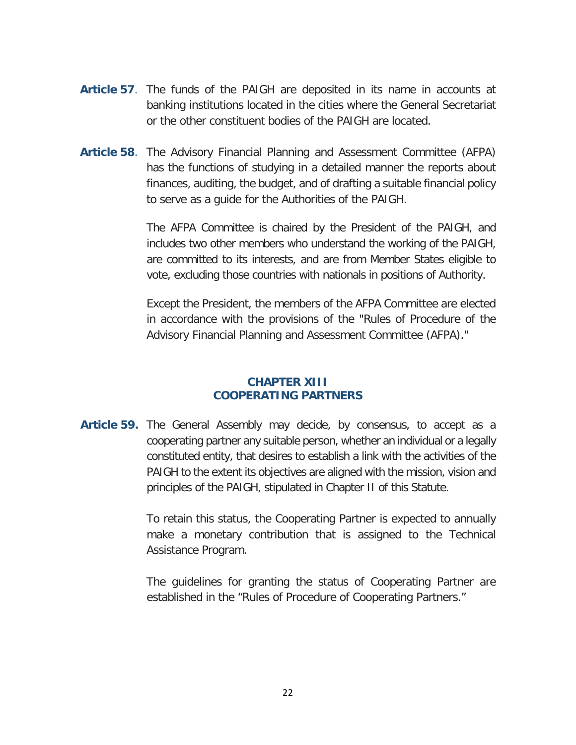- **Article 57**. The funds of the PAIGH are deposited in its name in accounts at banking institutions located in the cities where the General Secretariat or the other constituent bodies of the PAIGH are located.
- **Article 58**. The Advisory Financial Planning and Assessment Committee (AFPA) has the functions of studying in a detailed manner the reports about finances, auditing, the budget, and of drafting a suitable financial policy to serve as a guide for the Authorities of the PAIGH.

The AFPA Committee is chaired by the President of the PAIGH, and includes two other members who understand the working of the PAIGH, are committed to its interests, and are from Member States eligible to vote, excluding those countries with nationals in positions of Authority.

Except the President, the members of the AFPA Committee are elected in accordance with the provisions of the "Rules of Procedure of the Advisory Financial Planning and Assessment Committee (AFPA)."

### **CHAPTER XIII COOPERATING PARTNERS**

**Article 59.** The General Assembly may decide, by consensus, to accept as a cooperating partner any suitable person, whether an individual or a legally constituted entity, that desires to establish a link with the activities of the PAIGH to the extent its objectives are aligned with the mission, vision and principles of the PAIGH, stipulated in Chapter II of this Statute.

> To retain this status, the Cooperating Partner is expected to annually make a monetary contribution that is assigned to the Technical Assistance Program.

> The guidelines for granting the status of Cooperating Partner are established in the "Rules of Procedure of Cooperating Partners."